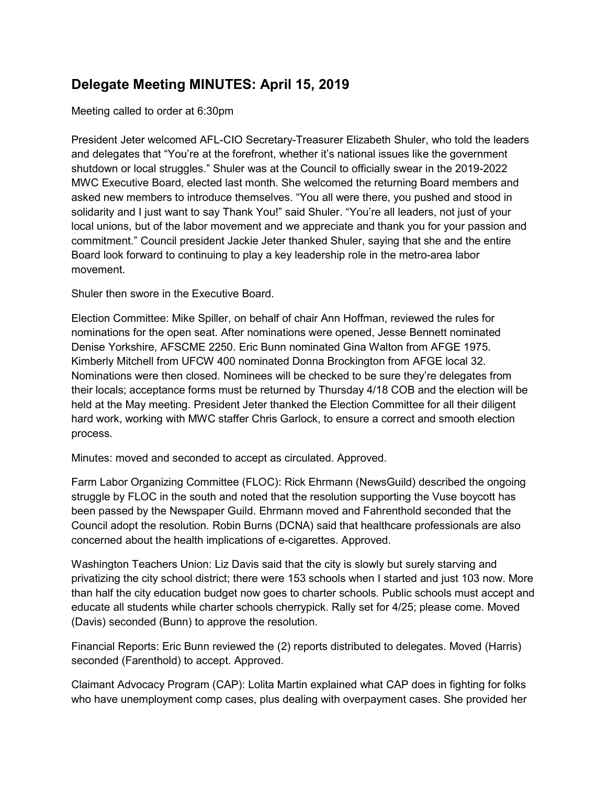## Delegate Meeting MINUTES: April 15, 2019

Meeting called to order at 6:30pm

President Jeter welcomed AFL-CIO Secretary-Treasurer Elizabeth Shuler, who told the leaders and delegates that "You're at the forefront, whether it's national issues like the government shutdown or local struggles." Shuler was at the Council to officially swear in the 2019-2022 MWC Executive Board, elected last month. She welcomed the returning Board members and asked new members to introduce themselves. "You all were there, you pushed and stood in solidarity and I just want to say Thank You!" said Shuler. "You're all leaders, not just of your local unions, but of the labor movement and we appreciate and thank you for your passion and commitment." Council president Jackie Jeter thanked Shuler, saying that she and the entire Board look forward to continuing to play a key leadership role in the metro-area labor movement.

Shuler then swore in the Executive Board.

Election Committee: Mike Spiller, on behalf of chair Ann Hoffman, reviewed the rules for nominations for the open seat. After nominations were opened, Jesse Bennett nominated Denise Yorkshire, AFSCME 2250. Eric Bunn nominated Gina Walton from AFGE 1975. Kimberly Mitchell from UFCW 400 nominated Donna Brockington from AFGE local 32. Nominations were then closed. Nominees will be checked to be sure they're delegates from their locals; acceptance forms must be returned by Thursday 4/18 COB and the election will be held at the May meeting. President Jeter thanked the Election Committee for all their diligent hard work, working with MWC staffer Chris Garlock, to ensure a correct and smooth election process.

Minutes: moved and seconded to accept as circulated. Approved.

Farm Labor Organizing Committee (FLOC): Rick Ehrmann (NewsGuild) described the ongoing struggle by FLOC in the south and noted that the resolution supporting the Vuse boycott has been passed by the Newspaper Guild. Ehrmann moved and Fahrenthold seconded that the Council adopt the resolution. Robin Burns (DCNA) said that healthcare professionals are also concerned about the health implications of e-cigarettes. Approved.

Washington Teachers Union: Liz Davis said that the city is slowly but surely starving and privatizing the city school district; there were 153 schools when I started and just 103 now. More than half the city education budget now goes to charter schools. Public schools must accept and educate all students while charter schools cherrypick. Rally set for 4/25; please come. Moved (Davis) seconded (Bunn) to approve the resolution.

Financial Reports: Eric Bunn reviewed the (2) reports distributed to delegates. Moved (Harris) seconded (Farenthold) to accept. Approved.

Claimant Advocacy Program (CAP): Lolita Martin explained what CAP does in fighting for folks who have unemployment comp cases, plus dealing with overpayment cases. She provided her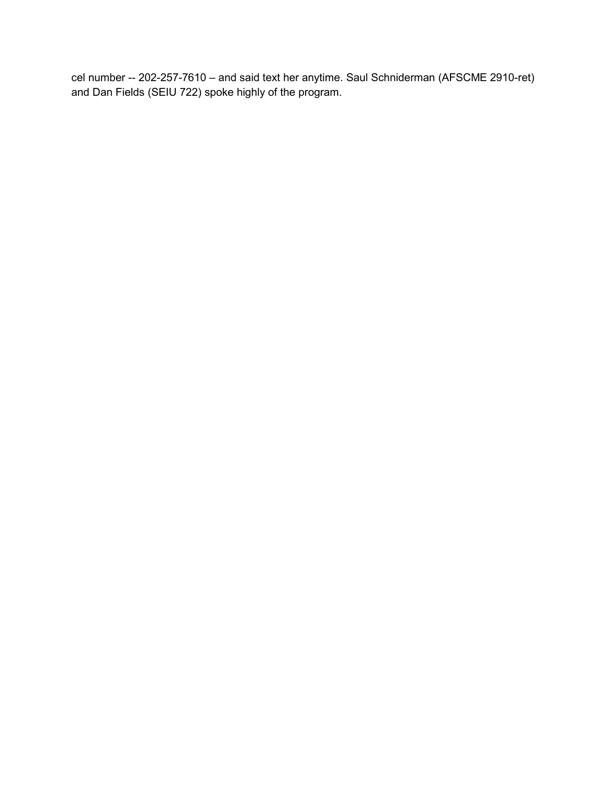cel number -- 202-257-7610 – and said text her anytime. Saul Schniderman (AFSCME 2910-ret) and Dan Fields (SEIU 722) spoke highly of the program.